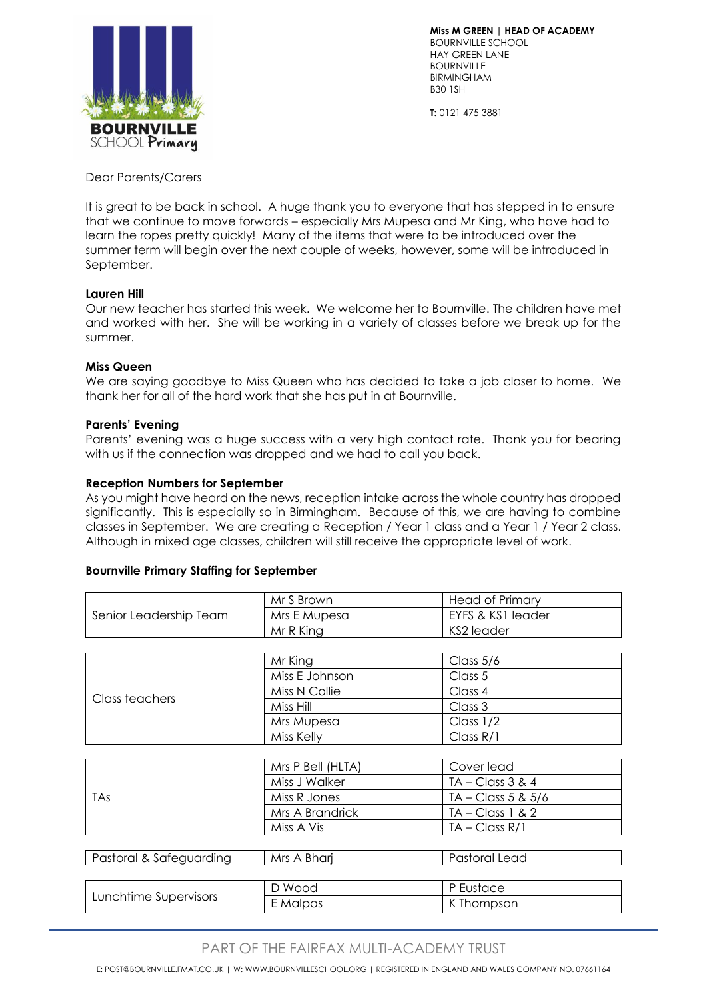

**Miss M GREEN | HEAD OF ACADEMY** BOURNVILLE SCHOOL HAY GREEN LANE **BOURNVILLE** BIRMINGHAM B30 1SH

**T:** 0121 475 3881

Dear Parents/Carers

It is great to be back in school. A huge thank you to everyone that has stepped in to ensure that we continue to move forwards – especially Mrs Mupesa and Mr King, who have had to learn the ropes pretty quickly! Many of the items that were to be introduced over the summer term will begin over the next couple of weeks, however, some will be introduced in September.

# **Lauren Hill**

Our new teacher has started this week. We welcome her to Bournville. The children have met and worked with her. She will be working in a variety of classes before we break up for the summer.

# **Miss Queen**

We are saying goodbye to Miss Queen who has decided to take a job closer to home. We thank her for all of the hard work that she has put in at Bournville.

# **Parents' Evening**

Parents' evening was a huge success with a very high contact rate. Thank you for bearing with us if the connection was dropped and we had to call you back.

# **Reception Numbers for September**

As you might have heard on the news, reception intake across the whole country has dropped significantly. This is especially so in Birmingham. Because of this, we are having to combine classes in September. We are creating a Reception / Year 1 class and a Year 1 / Year 2 class. Although in mixed age classes, children will still receive the appropriate level of work.

#### **Bournville Primary Staffing for September**

| Senior Leadership Team  | Mr S Brown        | <b>Head of Primary</b> |
|-------------------------|-------------------|------------------------|
|                         | Mrs E Mupesa      | EYFS & KS1 leader      |
|                         | Mr R King         | KS2 leader             |
|                         |                   |                        |
| Class teachers          | Mr King           | Class 5/6              |
|                         | Miss E Johnson    | Class 5                |
|                         | Miss N Collie     | Class 4                |
|                         | Miss Hill         | Class 3                |
|                         | Mrs Mupesa        | Class $1/2$            |
|                         | Miss Kelly        | Class $R/1$            |
|                         |                   |                        |
| <b>TAs</b>              | Mrs P Bell (HLTA) | Cover lead             |
|                         | Miss J Walker     | $TA - Class 3 & 4$     |
|                         | Miss R Jones      | $TA - Class 5 & 5/6$   |
|                         | Mrs A Brandrick   | $TA - Class 1 & 2$     |
|                         | Miss A Vis        | $TA - Class R/1$       |
|                         |                   |                        |
| Pastoral & Safeguarding | Mrs A Bharj       | Pastoral Lead          |
|                         |                   |                        |
| Lunchtime Supervisors   | D Wood            | P Eustace              |
|                         | E Malpas          | K Thompson             |

# PART OF THE FAIRFAX MUI TI-ACADEMY TRUST

E: POST@BOURNVILLE.FMAT.CO.UK | W: WWW.BOURNVILLESCHOOL.ORG | REGISTERED IN ENGLAND AND WALES COMPANY NO. 07661164